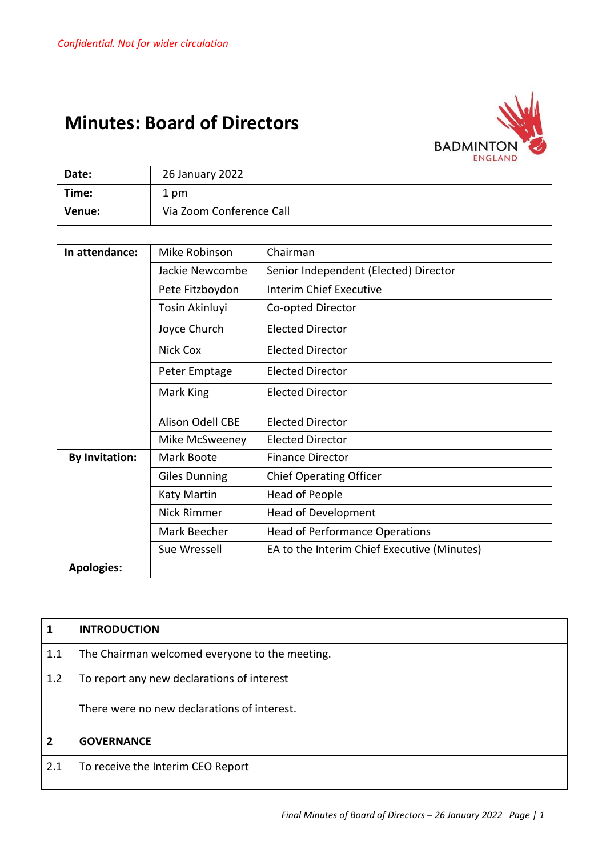## **Minutes: Board of Directors**



| Date:                 | 26 January 2022          |                                             |
|-----------------------|--------------------------|---------------------------------------------|
| Time:                 | 1 pm                     |                                             |
| Venue:                | Via Zoom Conference Call |                                             |
|                       |                          |                                             |
| In attendance:        | Mike Robinson            | Chairman                                    |
|                       | Jackie Newcombe          | Senior Independent (Elected) Director       |
|                       | Pete Fitzboydon          | <b>Interim Chief Executive</b>              |
|                       | Tosin Akinluyi           | Co-opted Director                           |
|                       | Joyce Church             | <b>Elected Director</b>                     |
|                       | Nick Cox                 | <b>Elected Director</b>                     |
|                       | Peter Emptage            | <b>Elected Director</b>                     |
|                       | Mark King                | <b>Elected Director</b>                     |
|                       | <b>Alison Odell CBE</b>  | <b>Elected Director</b>                     |
|                       | Mike McSweeney           | <b>Elected Director</b>                     |
| <b>By Invitation:</b> | Mark Boote               | <b>Finance Director</b>                     |
|                       | <b>Giles Dunning</b>     | <b>Chief Operating Officer</b>              |
|                       | Katy Martin              | <b>Head of People</b>                       |
|                       | <b>Nick Rimmer</b>       | <b>Head of Development</b>                  |
|                       | Mark Beecher             | <b>Head of Performance Operations</b>       |
|                       | Sue Wressell             | EA to the Interim Chief Executive (Minutes) |
| <b>Apologies:</b>     |                          |                                             |

| 1              | <b>INTRODUCTION</b>                                                                       |
|----------------|-------------------------------------------------------------------------------------------|
| 1.1            | The Chairman welcomed everyone to the meeting.                                            |
| 1.2            | To report any new declarations of interest<br>There were no new declarations of interest. |
| $\overline{2}$ | <b>GOVERNANCE</b>                                                                         |
| 2.1            | To receive the Interim CEO Report                                                         |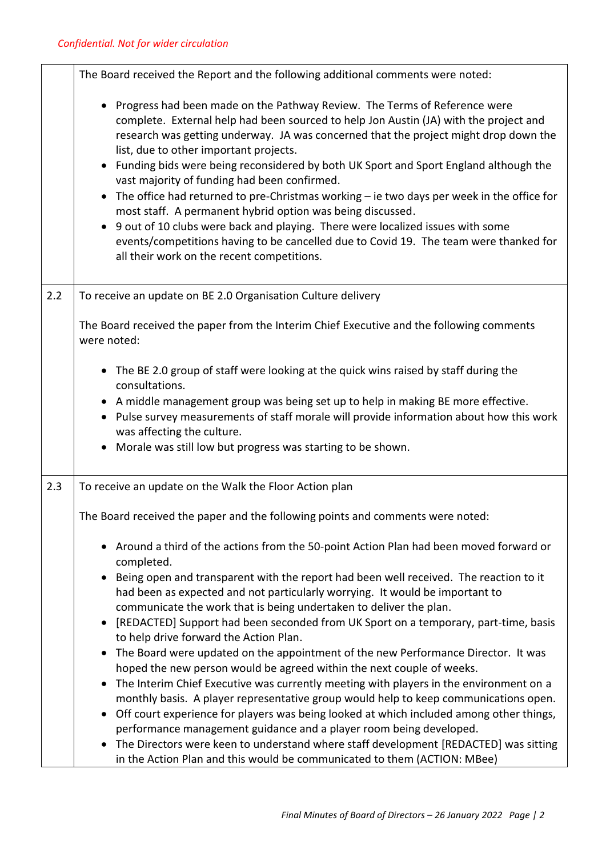|     | The Board received the Report and the following additional comments were noted:                                                                                                                                                                                                                                                                                                                                                                                                                                                                                                                                                                                                                                                                                                                                                                   |
|-----|---------------------------------------------------------------------------------------------------------------------------------------------------------------------------------------------------------------------------------------------------------------------------------------------------------------------------------------------------------------------------------------------------------------------------------------------------------------------------------------------------------------------------------------------------------------------------------------------------------------------------------------------------------------------------------------------------------------------------------------------------------------------------------------------------------------------------------------------------|
|     | • Progress had been made on the Pathway Review. The Terms of Reference were<br>complete. External help had been sourced to help Jon Austin (JA) with the project and<br>research was getting underway. JA was concerned that the project might drop down the<br>list, due to other important projects.<br>Funding bids were being reconsidered by both UK Sport and Sport England although the<br>vast majority of funding had been confirmed.<br>The office had returned to pre-Christmas working $-$ ie two days per week in the office for<br>$\bullet$<br>most staff. A permanent hybrid option was being discussed.<br>9 out of 10 clubs were back and playing. There were localized issues with some<br>events/competitions having to be cancelled due to Covid 19. The team were thanked for<br>all their work on the recent competitions. |
| 2.2 | To receive an update on BE 2.0 Organisation Culture delivery                                                                                                                                                                                                                                                                                                                                                                                                                                                                                                                                                                                                                                                                                                                                                                                      |
|     | The Board received the paper from the Interim Chief Executive and the following comments<br>were noted:                                                                                                                                                                                                                                                                                                                                                                                                                                                                                                                                                                                                                                                                                                                                           |
|     | • The BE 2.0 group of staff were looking at the quick wins raised by staff during the<br>consultations.<br>• A middle management group was being set up to help in making BE more effective.<br>• Pulse survey measurements of staff morale will provide information about how this work<br>was affecting the culture.<br>Morale was still low but progress was starting to be shown.                                                                                                                                                                                                                                                                                                                                                                                                                                                             |
| 2.3 | To receive an update on the Walk the Floor Action plan                                                                                                                                                                                                                                                                                                                                                                                                                                                                                                                                                                                                                                                                                                                                                                                            |
|     | The Board received the paper and the following points and comments were noted:                                                                                                                                                                                                                                                                                                                                                                                                                                                                                                                                                                                                                                                                                                                                                                    |
|     | • Around a third of the actions from the 50-point Action Plan had been moved forward or<br>completed.                                                                                                                                                                                                                                                                                                                                                                                                                                                                                                                                                                                                                                                                                                                                             |
|     | Being open and transparent with the report had been well received. The reaction to it<br>$\bullet$<br>had been as expected and not particularly worrying. It would be important to                                                                                                                                                                                                                                                                                                                                                                                                                                                                                                                                                                                                                                                                |
|     | communicate the work that is being undertaken to deliver the plan.<br>[REDACTED] Support had been seconded from UK Sport on a temporary, part-time, basis                                                                                                                                                                                                                                                                                                                                                                                                                                                                                                                                                                                                                                                                                         |
|     | to help drive forward the Action Plan.<br>The Board were updated on the appointment of the new Performance Director. It was<br>hoped the new person would be agreed within the next couple of weeks.                                                                                                                                                                                                                                                                                                                                                                                                                                                                                                                                                                                                                                              |
|     | The Interim Chief Executive was currently meeting with players in the environment on a<br>monthly basis. A player representative group would help to keep communications open.<br>Off court experience for players was being looked at which included among other things,<br>performance management guidance and a player room being developed.                                                                                                                                                                                                                                                                                                                                                                                                                                                                                                   |
|     | The Directors were keen to understand where staff development [REDACTED] was sitting<br>in the Action Plan and this would be communicated to them (ACTION: MBee)                                                                                                                                                                                                                                                                                                                                                                                                                                                                                                                                                                                                                                                                                  |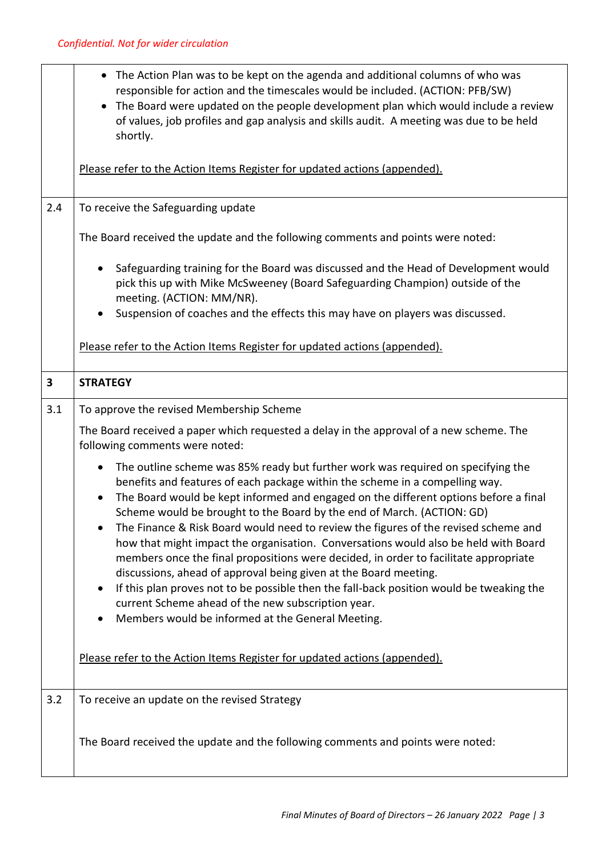|     | The Action Plan was to be kept on the agenda and additional columns of who was<br>$\bullet$<br>responsible for action and the timescales would be included. (ACTION: PFB/SW)<br>The Board were updated on the people development plan which would include a review<br>$\bullet$<br>of values, job profiles and gap analysis and skills audit. A meeting was due to be held<br>shortly.                                                                                                                                                                                                                                                                                                                                                                                                                                                                                                                                                  |
|-----|-----------------------------------------------------------------------------------------------------------------------------------------------------------------------------------------------------------------------------------------------------------------------------------------------------------------------------------------------------------------------------------------------------------------------------------------------------------------------------------------------------------------------------------------------------------------------------------------------------------------------------------------------------------------------------------------------------------------------------------------------------------------------------------------------------------------------------------------------------------------------------------------------------------------------------------------|
|     | Please refer to the Action Items Register for updated actions (appended).                                                                                                                                                                                                                                                                                                                                                                                                                                                                                                                                                                                                                                                                                                                                                                                                                                                               |
| 2.4 | To receive the Safeguarding update                                                                                                                                                                                                                                                                                                                                                                                                                                                                                                                                                                                                                                                                                                                                                                                                                                                                                                      |
|     | The Board received the update and the following comments and points were noted:                                                                                                                                                                                                                                                                                                                                                                                                                                                                                                                                                                                                                                                                                                                                                                                                                                                         |
|     | Safeguarding training for the Board was discussed and the Head of Development would<br>$\bullet$<br>pick this up with Mike McSweeney (Board Safeguarding Champion) outside of the<br>meeting. (ACTION: MM/NR).                                                                                                                                                                                                                                                                                                                                                                                                                                                                                                                                                                                                                                                                                                                          |
|     | Suspension of coaches and the effects this may have on players was discussed.<br>$\bullet$                                                                                                                                                                                                                                                                                                                                                                                                                                                                                                                                                                                                                                                                                                                                                                                                                                              |
|     | Please refer to the Action Items Register for updated actions (appended).                                                                                                                                                                                                                                                                                                                                                                                                                                                                                                                                                                                                                                                                                                                                                                                                                                                               |
| 3   | <b>STRATEGY</b>                                                                                                                                                                                                                                                                                                                                                                                                                                                                                                                                                                                                                                                                                                                                                                                                                                                                                                                         |
| 3.1 | To approve the revised Membership Scheme                                                                                                                                                                                                                                                                                                                                                                                                                                                                                                                                                                                                                                                                                                                                                                                                                                                                                                |
|     | The Board received a paper which requested a delay in the approval of a new scheme. The<br>following comments were noted:                                                                                                                                                                                                                                                                                                                                                                                                                                                                                                                                                                                                                                                                                                                                                                                                               |
|     | The outline scheme was 85% ready but further work was required on specifying the<br>$\bullet$<br>benefits and features of each package within the scheme in a compelling way.<br>The Board would be kept informed and engaged on the different options before a final<br>$\bullet$<br>Scheme would be brought to the Board by the end of March. (ACTION: GD)<br>The Finance & Risk Board would need to review the figures of the revised scheme and<br>$\bullet$<br>how that might impact the organisation. Conversations would also be held with Board<br>members once the final propositions were decided, in order to facilitate appropriate<br>discussions, ahead of approval being given at the Board meeting.<br>If this plan proves not to be possible then the fall-back position would be tweaking the<br>$\bullet$<br>current Scheme ahead of the new subscription year.<br>Members would be informed at the General Meeting. |
|     | Please refer to the Action Items Register for updated actions (appended).                                                                                                                                                                                                                                                                                                                                                                                                                                                                                                                                                                                                                                                                                                                                                                                                                                                               |
| 3.2 | To receive an update on the revised Strategy                                                                                                                                                                                                                                                                                                                                                                                                                                                                                                                                                                                                                                                                                                                                                                                                                                                                                            |
|     | The Board received the update and the following comments and points were noted:                                                                                                                                                                                                                                                                                                                                                                                                                                                                                                                                                                                                                                                                                                                                                                                                                                                         |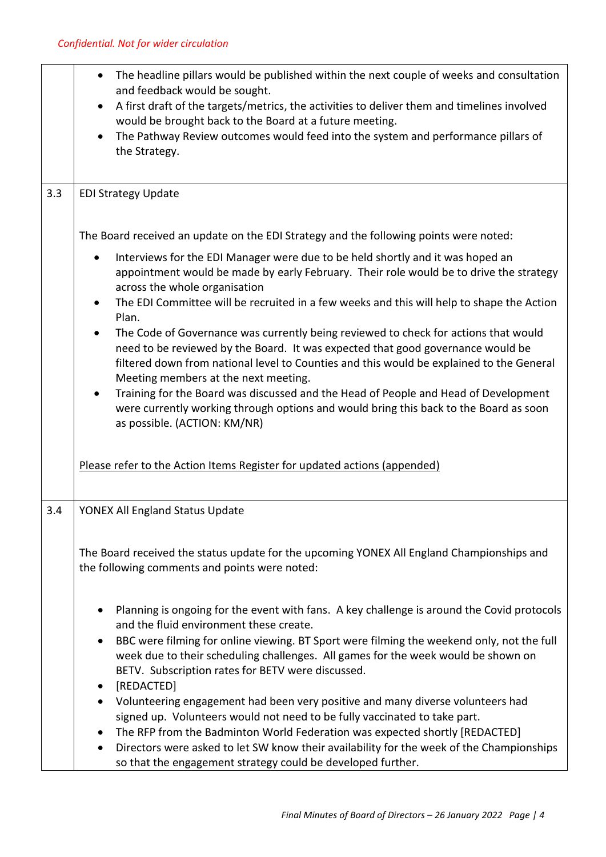|     | The headline pillars would be published within the next couple of weeks and consultation<br>$\bullet$<br>and feedback would be sought.<br>A first draft of the targets/metrics, the activities to deliver them and timelines involved<br>$\bullet$<br>would be brought back to the Board at a future meeting.<br>The Pathway Review outcomes would feed into the system and performance pillars of<br>$\bullet$<br>the Strategy.                                                                                                                                                                                                                                                                                                                                                                                                                                                     |
|-----|--------------------------------------------------------------------------------------------------------------------------------------------------------------------------------------------------------------------------------------------------------------------------------------------------------------------------------------------------------------------------------------------------------------------------------------------------------------------------------------------------------------------------------------------------------------------------------------------------------------------------------------------------------------------------------------------------------------------------------------------------------------------------------------------------------------------------------------------------------------------------------------|
| 3.3 | <b>EDI Strategy Update</b>                                                                                                                                                                                                                                                                                                                                                                                                                                                                                                                                                                                                                                                                                                                                                                                                                                                           |
|     | The Board received an update on the EDI Strategy and the following points were noted:                                                                                                                                                                                                                                                                                                                                                                                                                                                                                                                                                                                                                                                                                                                                                                                                |
|     | Interviews for the EDI Manager were due to be held shortly and it was hoped an<br>$\bullet$<br>appointment would be made by early February. Their role would be to drive the strategy<br>across the whole organisation<br>The EDI Committee will be recruited in a few weeks and this will help to shape the Action<br>$\bullet$<br>Plan.<br>The Code of Governance was currently being reviewed to check for actions that would<br>need to be reviewed by the Board. It was expected that good governance would be<br>filtered down from national level to Counties and this would be explained to the General<br>Meeting members at the next meeting.<br>Training for the Board was discussed and the Head of People and Head of Development<br>$\bullet$<br>were currently working through options and would bring this back to the Board as soon<br>as possible. (ACTION: KM/NR) |
|     | Please refer to the Action Items Register for updated actions (appended)                                                                                                                                                                                                                                                                                                                                                                                                                                                                                                                                                                                                                                                                                                                                                                                                             |
| 3.4 | YONEX All England Status Update                                                                                                                                                                                                                                                                                                                                                                                                                                                                                                                                                                                                                                                                                                                                                                                                                                                      |
|     | The Board received the status update for the upcoming YONEX All England Championships and<br>the following comments and points were noted:                                                                                                                                                                                                                                                                                                                                                                                                                                                                                                                                                                                                                                                                                                                                           |
|     | Planning is ongoing for the event with fans. A key challenge is around the Covid protocols<br>$\bullet$<br>and the fluid environment these create.<br>BBC were filming for online viewing. BT Sport were filming the weekend only, not the full<br>$\bullet$<br>week due to their scheduling challenges. All games for the week would be shown on<br>BETV. Subscription rates for BETV were discussed.<br>[REDACTED]<br>$\bullet$<br>Volunteering engagement had been very positive and many diverse volunteers had<br>$\bullet$<br>signed up. Volunteers would not need to be fully vaccinated to take part.<br>The RFP from the Badminton World Federation was expected shortly [REDACTED]<br>$\bullet$<br>Directors were asked to let SW know their availability for the week of the Championships<br>$\bullet$<br>so that the engagement strategy could be developed further.    |